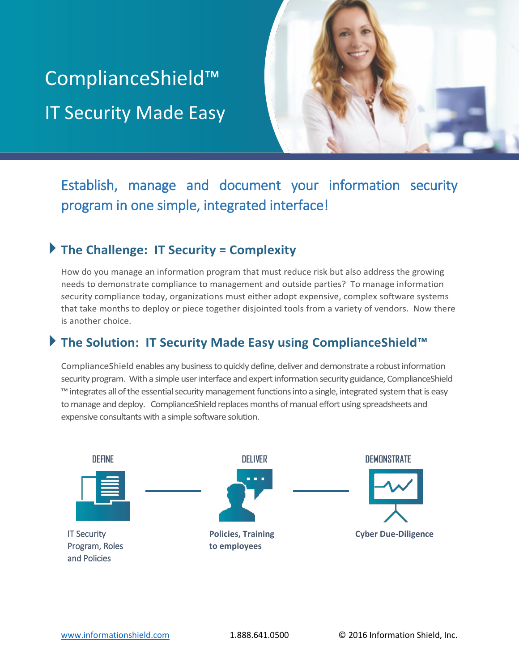# ComplianceShield™ IT Security Made Easy



Establish, manage and document your information security program in one simple, integrated interface!

## **The Challenge: IT Security = Complexity**

How do you manage an information program that must reduce risk but also address the growing needs to demonstrate compliance to management and outside parties? To manage information security compliance today, organizations must either adopt expensive, complex software systems that take months to deploy or piece together disjointed tools from a variety of vendors. Now there is another choice.

# **The Solution: IT Security Made Easy using ComplianceShield™**

Compliance Shield enables any business to quickly define, deliver and demonstrate a robust information security program. With a simple user interface and expert information security guidance, ComplianceShield ™ integrates all of the essential security management functions into a single, integrated system that is easy to manage and deploy. Compliance Shield replaces months of manual effort using spreadsheets and expensive consultants with a simple software solution.